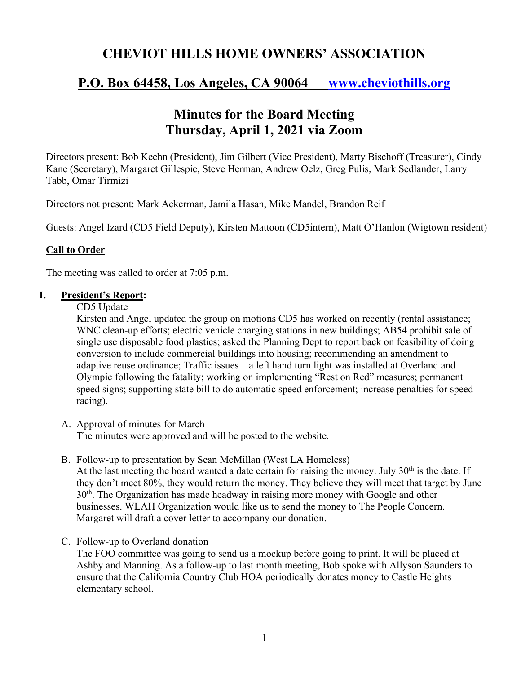# **CHEVIOT HILLS HOME OWNERS' ASSOCIATION**

# **P.O. Box 64458, Los Angeles, CA 90064 www.cheviothills.org**

# **Minutes for the Board Meeting Thursday, April 1, 2021 via Zoom**

Directors present: Bob Keehn (President), Jim Gilbert (Vice President), Marty Bischoff (Treasurer), Cindy Kane (Secretary), Margaret Gillespie, Steve Herman, Andrew Oelz, Greg Pulis, Mark Sedlander, Larry Tabb, Omar Tirmizi

Directors not present: Mark Ackerman, Jamila Hasan, Mike Mandel, Brandon Reif

Guests: Angel Izard (CD5 Field Deputy), Kirsten Mattoon (CD5intern), Matt O'Hanlon (Wigtown resident)

### **Call to Order**

The meeting was called to order at 7:05 p.m.

#### **I. President's Report:**

#### CD5 Update

Kirsten and Angel updated the group on motions CD5 has worked on recently (rental assistance; WNC clean-up efforts; electric vehicle charging stations in new buildings; AB54 prohibit sale of single use disposable food plastics; asked the Planning Dept to report back on feasibility of doing conversion to include commercial buildings into housing; recommending an amendment to adaptive reuse ordinance; Traffic issues – a left hand turn light was installed at Overland and Olympic following the fatality; working on implementing "Rest on Red" measures; permanent speed signs; supporting state bill to do automatic speed enforcement; increase penalties for speed racing).

A. Approval of minutes for March

The minutes were approved and will be posted to the website.

B. Follow-up to presentation by Sean McMillan (West LA Homeless)

At the last meeting the board wanted a date certain for raising the money. July  $30<sup>th</sup>$  is the date. If they don't meet 80%, they would return the money. They believe they will meet that target by June  $30<sup>th</sup>$ . The Organization has made headway in raising more money with Google and other businesses. WLAH Organization would like us to send the money to The People Concern. Margaret will draft a cover letter to accompany our donation.

C. Follow-up to Overland donation

The FOO committee was going to send us a mockup before going to print. It will be placed at Ashby and Manning. As a follow-up to last month meeting, Bob spoke with Allyson Saunders to ensure that the California Country Club HOA periodically donates money to Castle Heights elementary school.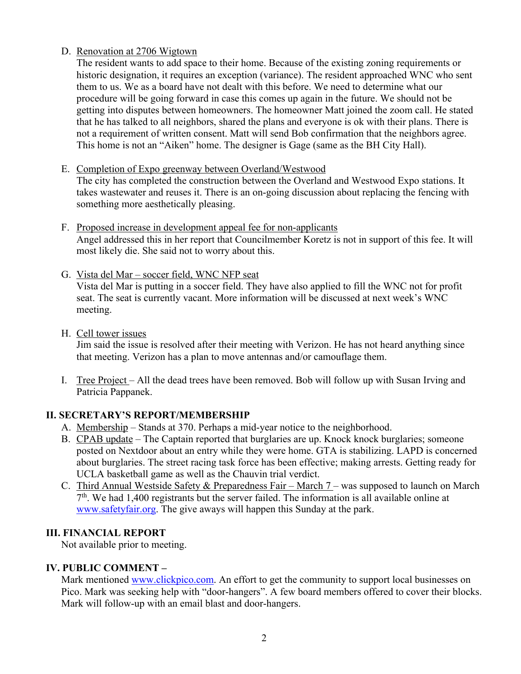### D. Renovation at 2706 Wigtown

The resident wants to add space to their home. Because of the existing zoning requirements or historic designation, it requires an exception (variance). The resident approached WNC who sent them to us. We as a board have not dealt with this before. We need to determine what our procedure will be going forward in case this comes up again in the future. We should not be getting into disputes between homeowners. The homeowner Matt joined the zoom call. He stated that he has talked to all neighbors, shared the plans and everyone is ok with their plans. There is not a requirement of written consent. Matt will send Bob confirmation that the neighbors agree. This home is not an "Aiken" home. The designer is Gage (same as the BH City Hall).

#### E. Completion of Expo greenway between Overland/Westwood

The city has completed the construction between the Overland and Westwood Expo stations. It takes wastewater and reuses it. There is an on-going discussion about replacing the fencing with something more aesthetically pleasing.

- F. Proposed increase in development appeal fee for non-applicants Angel addressed this in her report that Councilmember Koretz is not in support of this fee. It will most likely die. She said not to worry about this.
- G. Vista del Mar soccer field, WNC NFP seat Vista del Mar is putting in a soccer field. They have also applied to fill the WNC not for profit seat. The seat is currently vacant. More information will be discussed at next week's WNC meeting.
- H. Cell tower issues

Jim said the issue is resolved after their meeting with Verizon. He has not heard anything since that meeting. Verizon has a plan to move antennas and/or camouflage them.

I. Tree Project – All the dead trees have been removed. Bob will follow up with Susan Irving and Patricia Pappanek.

### **II. SECRETARY'S REPORT/MEMBERSHIP**

- A. Membership Stands at 370. Perhaps a mid-year notice to the neighborhood.
- B. CPAB update The Captain reported that burglaries are up. Knock knock burglaries; someone posted on Nextdoor about an entry while they were home. GTA is stabilizing. LAPD is concerned about burglaries. The street racing task force has been effective; making arrests. Getting ready for UCLA basketball game as well as the Chauvin trial verdict.
- C. Third Annual Westside Safety & Preparedness Fair March 7 was supposed to launch on March  $7<sup>th</sup>$ . We had 1,400 registrants but the server failed. The information is all available online at www.safetyfair.org. The give aways will happen this Sunday at the park.

### **III. FINANCIAL REPORT**

Not available prior to meeting.

### **IV. PUBLIC COMMENT –**

Mark mentioned www.clickpico.com. An effort to get the community to support local businesses on Pico. Mark was seeking help with "door-hangers". A few board members offered to cover their blocks. Mark will follow-up with an email blast and door-hangers.